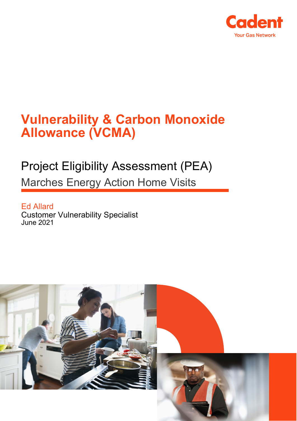

# **Vulnerability & Carbon Monoxide Allowance (VCMA)**

# Project Eligibility Assessment (PEA)

Marches Energy Action Home Visits

Ed Allard Customer Vulnerability Specialist June 2021

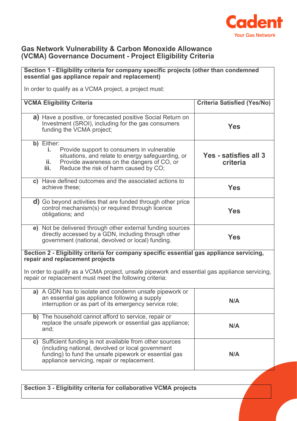

#### **Gas Network Vulnerability & Carbon Monoxide Allowance (VCMA) Governance Document - Project Eligibility Criteria**

# **Section 1 - Eligibility criteria for company specific projects (other than condemned essential gas appliance repair and replacement)** In order to qualify as a VCMA project, a project must: **VCMA Eligibility Criteria Criteria Satisfied (Yes/No) a)** Have a positive, or forecasted positive Social Return on Investment (SROI), including for the gas consumers funding the VCMA project; **Yes b)** Either: **i.** Provide support to consumers in vulnerable situations, and relate to energy safeguarding, or **ii.** Provide awareness on the dangers of CO, or<br>**iii.** Reduce the risk of harm caused by CO. Reduce the risk of harm caused by CO; **Yes - satisfies all 3 criteria c)** Have defined outcomes and the associated actions to achieve these; **Yes d)** Go beyond activities that are funded through other price control mechanism(s) or required through licence obligations; and **Yes e)** Not be delivered through other external funding sources directly accessed by a GDN, including through other government (national, devolved or local) funding. **Yes Section 2 - Eligibility criteria for company specific essential gas appliance servicing, repair and replacement projects** In order to qualify as a VCMA project, unsafe pipework and essential gas appliance servicing, repair or replacement must meet the following criteria: **a)** A GDN has to isolate and condemn unsafe pipework or an essential gas appliance following a supply an essential gas appliance ioliowing a supply<br>interruption or as part of its emergency service role; **b)** The household cannot afford to service, repair or replace the unsafe pipework or essential gas appliance; and; **N/A c)** Sufficient funding is not available from other sources (including national, devolved or local government funding) to fund the unsafe pipework or essential gas appliance servicing, repair or replacement. **N/A**

**Section 3 - Eligibility criteria for collaborative VCMA projects**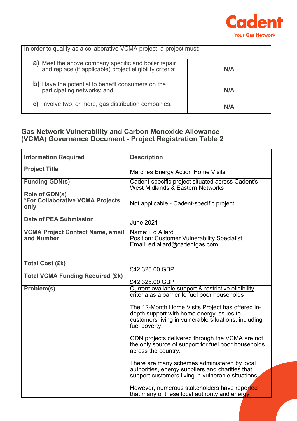

| In order to qualify as a collaborative VCMA project, a project must:                                                 |     |  |
|----------------------------------------------------------------------------------------------------------------------|-----|--|
| Meet the above company specific and boiler repair<br>a)<br>and replace (if applicable) project eligibility criteria; | N/A |  |
| b) Have the potential to benefit consumers on the<br>participating networks; and                                     | N/A |  |
| Involve two, or more, gas distribution companies.<br>C)                                                              | N/A |  |

## **Gas Network Vulnerability and Carbon Monoxide Allowance (VCMA) Governance Document - Project Registration Table 2**

| <b>Information Required</b>                                       | <b>Description</b>                                                                                                                                                    |
|-------------------------------------------------------------------|-----------------------------------------------------------------------------------------------------------------------------------------------------------------------|
| <b>Project Title</b>                                              | <b>Marches Energy Action Home Visits</b>                                                                                                                              |
| <b>Funding GDN(s)</b>                                             | Cadent-specific project situated across Cadent's<br>West Midlands & Eastern Networks                                                                                  |
| Role of GDN(s)<br><b>*For Collaborative VCMA Projects</b><br>only | Not applicable - Cadent-specific project                                                                                                                              |
| <b>Date of PEA Submission</b>                                     | <b>June 2021</b>                                                                                                                                                      |
| <b>VCMA Project Contact Name, email</b><br>and Number             | Name: Ed Allard<br><b>Position: Customer Vulnerability Specialist</b><br>Email: ed.allard@cadentgas.com                                                               |
| <b>Total Cost (£k)</b>                                            | £42,325.00 GBP                                                                                                                                                        |
| <b>Total VCMA Funding Required (£k)</b>                           | £42,325.00 GBP                                                                                                                                                        |
| Problem(s)                                                        | Current available support & restrictive eligibility<br>criteria as a barrier to fuel poor households                                                                  |
|                                                                   | The 12-Month Home Visits Project has offered in-<br>depth support with home energy issues to<br>customers living in vulnerable situations, including<br>fuel poverty. |
|                                                                   | GDN projects delivered through the VCMA are not<br>the only source of support for fuel poor households<br>across the country.                                         |
|                                                                   | There are many schemes administered by local<br>authorities, energy suppliers and charities that<br>support customers living in vulnerable situations.                |
|                                                                   | However, numerous stakeholders have reported<br>that many of these local authority and energy                                                                         |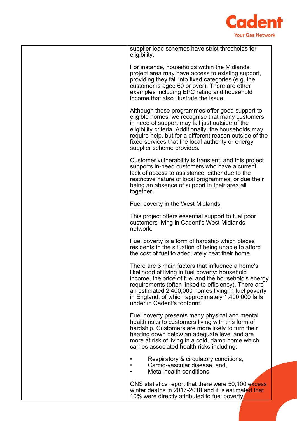

| supplier lead schemes have strict thresholds for<br>eligibility.                                                                                                                                                                                                                                                                                                 |
|------------------------------------------------------------------------------------------------------------------------------------------------------------------------------------------------------------------------------------------------------------------------------------------------------------------------------------------------------------------|
| For instance, households within the Midlands<br>project area may have access to existing support,<br>providing they fall into fixed categories (e.g. the<br>customer is aged 60 or over). There are other<br>examples including EPC rating and household<br>income that also illustrate the issue.                                                               |
| Although these programmes offer good support to<br>eligible homes, we recognise that many customers<br>in need of support may fall just outside of the<br>eligibility criteria. Additionally, the households may<br>require help, but for a different reason outside of the<br>fixed services that the local authority or energy<br>supplier scheme provides.    |
| Customer vulnerability is transient, and this project<br>supports in-need customers who have a current<br>lack of access to assistance; either due to the<br>restrictive nature of local programmes, or due their<br>being an absence of support in their area all<br>together.                                                                                  |
| <b>Fuel poverty in the West Midlands</b>                                                                                                                                                                                                                                                                                                                         |
| This project offers essential support to fuel poor<br>customers living in Cadent's West Midlands<br>network.                                                                                                                                                                                                                                                     |
| Fuel poverty is a form of hardship which places<br>residents in the situation of being unable to afford<br>the cost of fuel to adequately heat their home.                                                                                                                                                                                                       |
| There are 3 main factors that influence a home's<br>likelihood of living in fuel poverty: household<br>income, the price of fuel and the household's energy<br>requirements (often linked to efficiency). There are<br>an estimated 2,400,000 homes living in fuel poverty<br>in England, of which approximately 1,400,000 falls<br>under in Cadent's footprint. |
| Fuel poverty presents many physical and mental<br>health risks to customers living with this form of<br>hardship. Customers are more likely to turn their<br>heating down below an adequate level and are<br>more at risk of living in a cold, damp home which<br>carries associated health risks including:                                                     |
| Respiratory & circulatory conditions,<br>Cardio-vascular disease, and,<br>Metal health conditions.                                                                                                                                                                                                                                                               |
| ONS statistics report that there were 50,100 excess<br>winter deaths in 2017-2018 and it is estimated that<br>10% were directly attributed to fuel poverty                                                                                                                                                                                                       |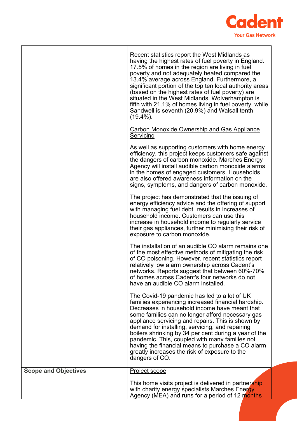

|                             | Recent statistics report the West Midlands as<br>having the highest rates of fuel poverty in England.<br>17.5% of homes in the region are living in fuel<br>poverty and not adequately heated compared the<br>13.4% average across England. Furthermore, a<br>significant portion of the top ten local authority areas                                                                                                                                                                                                                              |
|-----------------------------|-----------------------------------------------------------------------------------------------------------------------------------------------------------------------------------------------------------------------------------------------------------------------------------------------------------------------------------------------------------------------------------------------------------------------------------------------------------------------------------------------------------------------------------------------------|
|                             | (based on the highest rates of fuel poverty) are<br>situated in the West Midlands. Wolverhampton is<br>fifth with 21.1% of homes living in fuel poverty, while<br>Sandwell is seventh (20.9%) and Walsall tenth<br>$(19.4\%)$ .                                                                                                                                                                                                                                                                                                                     |
|                             | <b>Carbon Monoxide Ownership and Gas Appliance</b><br><b>Servicing</b>                                                                                                                                                                                                                                                                                                                                                                                                                                                                              |
|                             | As well as supporting customers with home energy<br>efficiency, this project keeps customers safe against<br>the dangers of carbon monoxide. Marches Energy<br>Agency will install audible carbon monoxide alarms<br>in the homes of engaged customers. Households<br>are also offered awareness information on the<br>signs, symptoms, and dangers of carbon monoxide.                                                                                                                                                                             |
|                             | The project has demonstrated that the issuing of<br>energy efficiency advice and the offering of support<br>with managing fuel debt results in increases of<br>household income. Customers can use this<br>increase in household income to regularly service<br>their gas appliances, further minimising their risk of<br>exposure to carbon monoxide.                                                                                                                                                                                              |
|                             | The installation of an audible CO alarm remains one<br>of the most effective methods of mitigating the risk<br>of CO poisoning. However, recent statistics report<br>relatively low alarm ownership across Cadent's<br>networks. Reports suggest that between 60%-70%<br>of homes across Cadent's four networks do not<br>have an audible CO alarm installed.                                                                                                                                                                                       |
|                             | The Covid-19 pandemic has led to a lot of UK<br>families experiencing increased financial hardship.<br>Decreases in household income have meant that<br>some families can no longer afford necessary gas<br>appliance servicing and repairs. This is shown by<br>demand for installing, servicing, and repairing<br>boilers shrinking by 34 per cent during a year of the<br>pandemic. This, coupled with many families not<br>having the financial means to purchase a CO alarm<br>greatly increases the risk of exposure to the<br>dangers of CO. |
| <b>Scope and Objectives</b> | <b>Project scope</b>                                                                                                                                                                                                                                                                                                                                                                                                                                                                                                                                |
|                             | This home visits project is delivered in partnership<br>with charity energy specialists Marches Energy<br>Agency (MEA) and runs for a period of 12 months                                                                                                                                                                                                                                                                                                                                                                                           |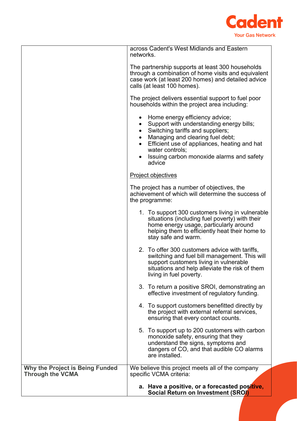

|                                                                   | across Cadent's West Midlands and Eastern<br>networks.                                                                                                                                                                                                                       |
|-------------------------------------------------------------------|------------------------------------------------------------------------------------------------------------------------------------------------------------------------------------------------------------------------------------------------------------------------------|
|                                                                   | The partnership supports at least 300 households<br>through a combination of home visits and equivalent<br>case work (at least 200 homes) and detailed advice<br>calls (at least 100 homes).                                                                                 |
|                                                                   | The project delivers essential support to fuel poor<br>households within the project area including:                                                                                                                                                                         |
|                                                                   | Home energy efficiency advice;<br>Support with understanding energy bills;<br>Switching tariffs and suppliers;<br>Managing and clearing fuel debt;<br>Efficient use of appliances, heating and hat<br>water controls;<br>Issuing carbon monoxide alarms and safety<br>advice |
|                                                                   | <b>Project objectives</b>                                                                                                                                                                                                                                                    |
|                                                                   | The project has a number of objectives, the<br>achievement of which will determine the success of<br>the programme:                                                                                                                                                          |
|                                                                   | 1. To support 300 customers living in vulnerable<br>situations (including fuel poverty) with their<br>home energy usage, particularly around<br>helping them to efficiently heat their home to<br>stay safe and warm.                                                        |
|                                                                   | 2. To offer 300 customers advice with tariffs,<br>switching and fuel bill management. This will<br>support customers living in vulnerable<br>situations and help alleviate the risk of them<br>living in fuel poverty.                                                       |
|                                                                   | 3. To return a positive SROI, demonstrating an<br>effective investment of regulatory funding.                                                                                                                                                                                |
|                                                                   | 4. To support customers benefitted directly by<br>the project with external referral services,<br>ensuring that every contact counts.                                                                                                                                        |
|                                                                   | 5. To support up to 200 customers with carbon<br>monoxide safety, ensuring that they<br>understand the signs, symptoms and<br>dangers of CO, and that audible CO alarms<br>are installed.                                                                                    |
| <b>Why the Project is Being Funded</b><br><b>Through the VCMA</b> | We believe this project meets all of the company<br>specific VCMA criteria:                                                                                                                                                                                                  |
|                                                                   | a. Have a positive, or a forecasted positive,<br>Social Return on Investment (SROI)                                                                                                                                                                                          |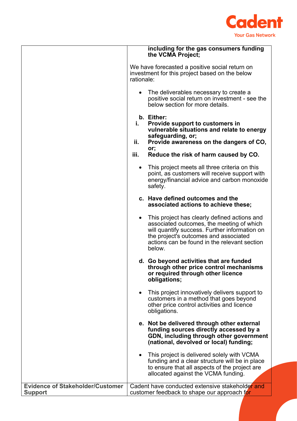

|                                                           |            | including for the gas consumers funding<br>the VCMA Project;                                                                                                                                                                                  |
|-----------------------------------------------------------|------------|-----------------------------------------------------------------------------------------------------------------------------------------------------------------------------------------------------------------------------------------------|
|                                                           | rationale: | We have forecasted a positive social return on<br>investment for this project based on the below                                                                                                                                              |
|                                                           |            | The deliverables necessary to create a<br>positive social return on investment - see the<br>below section for more details.                                                                                                                   |
|                                                           | i.         | b. Either:<br>Provide support to customers in<br>vulnerable situations and relate to energy<br>safeguarding, or;                                                                                                                              |
|                                                           | ii.        | Provide awareness on the dangers of CO,                                                                                                                                                                                                       |
|                                                           | iii.       | or;<br>Reduce the risk of harm caused by CO.                                                                                                                                                                                                  |
|                                                           |            | This project meets all three criteria on this<br>point, as customers will receive support with<br>energy/financial advice and carbon monoxide<br>safety.                                                                                      |
|                                                           |            | c. Have defined outcomes and the<br>associated actions to achieve these;                                                                                                                                                                      |
|                                                           |            | This project has clearly defined actions and<br>associated outcomes, the meeting of which<br>will quantify success. Further information on<br>the project's outcomes and associated<br>actions can be found in the relevant section<br>below. |
|                                                           |            | d. Go beyond activities that are funded<br>through other price control mechanisms<br>or required through other licence<br>obligations;                                                                                                        |
|                                                           |            | This project innovatively delivers support to<br>customers in a method that goes beyond<br>other price control activities and licence<br>obligations.                                                                                         |
|                                                           |            | e. Not be delivered through other external<br>funding sources directly accessed by a<br>GDN, including through other government<br>(national, devolved or local) funding;                                                                     |
|                                                           |            | This project is delivered solely with VCMA<br>funding and a clear structure will be in place<br>to ensure that all aspects of the project are<br>allocated against the VCMA funding.                                                          |
| <b>Evidence of Stakeholder/Customer</b><br><b>Support</b> |            | Cadent have conducted extensive stakeholder and<br>customer feedback to shape our approach for                                                                                                                                                |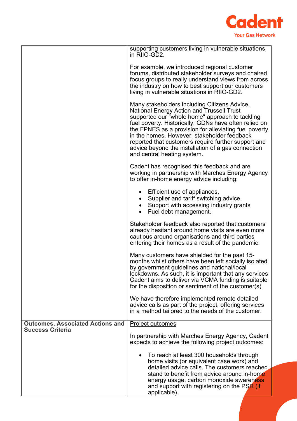

|                                         | supporting customers living in vulnerable situations<br>in RIIO-GD2.                                                                                                                                                                                                                                                                                                                                                                                      |
|-----------------------------------------|-----------------------------------------------------------------------------------------------------------------------------------------------------------------------------------------------------------------------------------------------------------------------------------------------------------------------------------------------------------------------------------------------------------------------------------------------------------|
|                                         | For example, we introduced regional customer<br>forums, distributed stakeholder surveys and chaired<br>focus groups to really understand views from across<br>the industry on how to best support our customers<br>living in vulnerable situations in RIIO-GD2.                                                                                                                                                                                           |
|                                         | Many stakeholders including Citizens Advice,<br>National Energy Action and Trussell Trust<br>supported our "whole home" approach to tackling<br>fuel poverty. Historically, GDNs have often relied on<br>the FPNES as a provision for alleviating fuel poverty<br>in the homes. However, stakeholder feedback<br>reported that customers require further support and<br>advice beyond the installation of a gas connection<br>and central heating system. |
|                                         | Cadent has recognised this feedback and are<br>working in partnership with Marches Energy Agency<br>to offer in-home energy advice including:                                                                                                                                                                                                                                                                                                             |
|                                         | Efficient use of appliances,<br>Supplier and tariff switching advice,<br>• Support with accessing industry grants<br>• Fuel debt management.                                                                                                                                                                                                                                                                                                              |
|                                         | Stakeholder feedback also reported that customers<br>already hesitant around home visits are even more<br>cautious around organisations and third parties<br>entering their homes as a result of the pandemic.                                                                                                                                                                                                                                            |
|                                         | Many customers have shielded for the past 15-<br>months whilst others have been left socially isolated<br>by government guidelines and national/local<br>lockdowns. As such, it is important that any services<br>Cadent aims to deliver via VCMA funding is suitable<br>for the disposition or sentiment of the customer(s).                                                                                                                             |
|                                         | We have therefore implemented remote detailed<br>advice calls as part of the project, offering services<br>in a method tailored to the needs of the customer.                                                                                                                                                                                                                                                                                             |
| <b>Outcomes, Associated Actions and</b> | <b>Project outcomes</b>                                                                                                                                                                                                                                                                                                                                                                                                                                   |
| <b>Success Criteria</b>                 | In partnership with Marches Energy Agency, Cadent<br>expects to achieve the following project outcomes:                                                                                                                                                                                                                                                                                                                                                   |
|                                         | To reach at least 300 households through<br>home visits (or equivalent case work) and<br>detailed advice calls. The customers reached<br>stand to benefit from advice around in-home<br>energy usage, carbon monoxide awareness<br>and support with registering on the PSR (if<br>applicable).                                                                                                                                                            |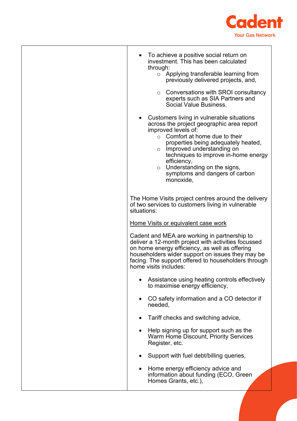

| To achieve a positive social return on<br>investment. This has been calculated                                                                                                                                                                                                                                                                                                          |
|-----------------------------------------------------------------------------------------------------------------------------------------------------------------------------------------------------------------------------------------------------------------------------------------------------------------------------------------------------------------------------------------|
| through:<br>Applying transferable learning from<br>$\circ$<br>previously delivered projects, and,                                                                                                                                                                                                                                                                                       |
| Conversations with SROI consultancy<br>$\circ$<br>experts such as SIA Partners and<br>Social Value Business.                                                                                                                                                                                                                                                                            |
| Customers living in vulnerable situations<br>across the project geographic area report<br>improved levels of:<br>Comfort at home due to their<br>$\circ$<br>properties being adequately heated,<br>Improved understanding on<br>$\circ$<br>techniques to improve in-home energy<br>efficiency,<br>Understanding on the signs,<br>$\circ$<br>symptoms and dangers of carbon<br>monoxide, |
| The Home Visits project centres around the delivery<br>of two services to customers living in vulnerable<br>situations:                                                                                                                                                                                                                                                                 |
| Home Visits or equivalent case work                                                                                                                                                                                                                                                                                                                                                     |
|                                                                                                                                                                                                                                                                                                                                                                                         |
| Cadent and MEA are working in partnership to<br>deliver a 12-month project with activities focussed<br>on home energy efficiency, as well as offering<br>householders wider support on issues they may be<br>facing. The support offered to householders through<br>home visits includes:                                                                                               |
| Assistance using heating controls effectively<br>to maximise energy efficiency,                                                                                                                                                                                                                                                                                                         |
| CO safety information and a CO detector if<br>needed,                                                                                                                                                                                                                                                                                                                                   |
| Tariff checks and switching advice,                                                                                                                                                                                                                                                                                                                                                     |
| Help signing up for support such as the<br>Warm Home Discount, Priority Services<br>Register, etc.                                                                                                                                                                                                                                                                                      |
| Support with fuel debt/billing queries,                                                                                                                                                                                                                                                                                                                                                 |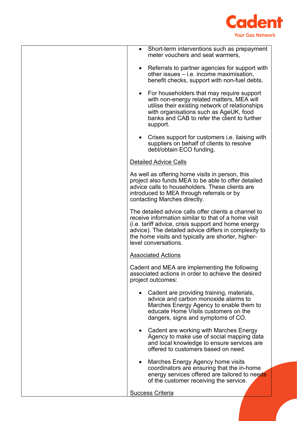

| • Short-term interventions such as prepayment<br>meter vouchers and seat warmers,                                                                                                                                                                                                                         |
|-----------------------------------------------------------------------------------------------------------------------------------------------------------------------------------------------------------------------------------------------------------------------------------------------------------|
| Referrals to partner agencies for support with<br>$\bullet$<br>other issues $-$ i.e. income maximisation,<br>benefit checks, support with non-fuel debts.                                                                                                                                                 |
| • For householders that may require support<br>with non-energy related matters, MEA will<br>utilise their existing network of relationships<br>with organisations such as AgeUK, food<br>banks and CAB to refer the client to further<br>support.                                                         |
| Crises support for customers <i>i.e.</i> liaising with<br>$\bullet$<br>suppliers on behalf of clients to resolve<br>debt/obtain ECO funding.                                                                                                                                                              |
| <b>Detailed Advice Calls</b>                                                                                                                                                                                                                                                                              |
| As well as offering home visits in person, this<br>project also funds MEA to be able to offer detailed<br>advice calls to householders. These clients are<br>introduced to MEA through referrals or by<br>contacting Marches directly.                                                                    |
| The detailed advice calls offer clients a channel to<br>receive information similar to that of a home visit<br>(i.e. tariff advice, crisis support and home energy<br>advice). The detailed advice differs in complexity to<br>the home visits and typically are shorter, higher-<br>level conversations. |
| <b>Associated Actions</b>                                                                                                                                                                                                                                                                                 |
| Cadent and MEA are implementing the following<br>associated actions in order to achieve the desired<br>project outcomes:                                                                                                                                                                                  |
| Cadent are providing training, materials,<br>$\bullet$<br>advice and carbon monoxide alarms to<br>Marches Energy Agency to enable them to<br>educate Home Visits customers on the<br>dangers, signs and symptoms of CO.                                                                                   |
| • Cadent are working with Marches Energy<br>Agency to make use of social mapping data<br>and local knowledge to ensure services are<br>offered to customers based on need.                                                                                                                                |
| Marches Energy Agency home visits<br>$\bullet$<br>coordinators are ensuring that the in-home<br>energy services offered are tailored to needs<br>of the customer receiving the service.                                                                                                                   |
| <b>Success Criteria</b>                                                                                                                                                                                                                                                                                   |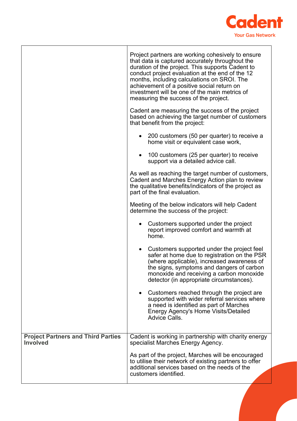

|                                                              | Project partners are working cohesively to ensure<br>that data is captured accurately throughout the<br>duration of the project. This supports Cadent to<br>conduct project evaluation at the end of the 12<br>months, including calculations on SROI. The<br>achievement of a positive social return on<br>investment will be one of the main metrics of<br>measuring the success of the project. |
|--------------------------------------------------------------|----------------------------------------------------------------------------------------------------------------------------------------------------------------------------------------------------------------------------------------------------------------------------------------------------------------------------------------------------------------------------------------------------|
|                                                              | Cadent are measuring the success of the project<br>based on achieving the target number of customers<br>that benefit from the project:                                                                                                                                                                                                                                                             |
|                                                              | 200 customers (50 per quarter) to receive a<br>home visit or equivalent case work,                                                                                                                                                                                                                                                                                                                 |
|                                                              | 100 customers (25 per quarter) to receive<br>support via a detailed advice call.                                                                                                                                                                                                                                                                                                                   |
|                                                              | As well as reaching the target number of customers,<br>Cadent and Marches Energy Action plan to review<br>the qualitative benefits/indicators of the project as<br>part of the final evaluation.                                                                                                                                                                                                   |
|                                                              | Meeting of the below indicators will help Cadent<br>determine the success of the project:                                                                                                                                                                                                                                                                                                          |
|                                                              | Customers supported under the project<br>report improved comfort and warmth at<br>home.                                                                                                                                                                                                                                                                                                            |
|                                                              | Customers supported under the project feel<br>$\bullet$<br>safer at home due to registration on the PSR<br>(where applicable), increased awareness of<br>the signs, symptoms and dangers of carbon<br>monoxide and receiving a carbon monoxide<br>detector (in appropriate circumstances).                                                                                                         |
|                                                              | Customers reached through the project are<br>$\bullet$<br>supported with wider referral services where<br>a need is identified as part of Marches<br><b>Energy Agency's Home Visits/Detailed</b><br><b>Advice Calls.</b>                                                                                                                                                                           |
| <b>Project Partners and Third Parties</b><br><b>Involved</b> | Cadent is working in partnership with charity energy<br>specialist Marches Energy Agency.                                                                                                                                                                                                                                                                                                          |
|                                                              | As part of the project, Marches will be encouraged<br>to utilise their network of existing partners to offer<br>additional services based on the needs of the<br>customers identified.                                                                                                                                                                                                             |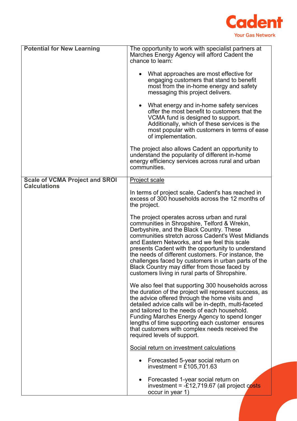

| <b>Potential for New Learning</b>                            | The opportunity to work with specialist partners at<br>Marches Energy Agency will afford Cadent the<br>chance to learn:<br>What approaches are most effective for<br>$\bullet$<br>engaging customers that stand to benefit<br>most from the in-home energy and safety<br>messaging this project delivers.<br>• What energy and in-home safety services<br>offer the most benefit to customers that the<br>VCMA fund is designed to support.<br>Additionally, which of these services is the<br>most popular with customers in terms of ease<br>of implementation.<br>The project also allows Cadent an opportunity to |
|--------------------------------------------------------------|-----------------------------------------------------------------------------------------------------------------------------------------------------------------------------------------------------------------------------------------------------------------------------------------------------------------------------------------------------------------------------------------------------------------------------------------------------------------------------------------------------------------------------------------------------------------------------------------------------------------------|
|                                                              | understand the popularity of different in-home<br>energy efficiency services across rural and urban<br>communities.                                                                                                                                                                                                                                                                                                                                                                                                                                                                                                   |
| <b>Scale of VCMA Project and SROI</b><br><b>Calculations</b> | <b>Project scale</b>                                                                                                                                                                                                                                                                                                                                                                                                                                                                                                                                                                                                  |
|                                                              | In terms of project scale, Cadent's has reached in<br>excess of 300 households across the 12 months of<br>the project.                                                                                                                                                                                                                                                                                                                                                                                                                                                                                                |
|                                                              | The project operates across urban and rural<br>communities in Shropshire, Telford & Wrekin,<br>Derbyshire, and the Black Country. These<br>communities stretch across Cadent's West Midlands<br>and Eastern Networks, and we feel this scale<br>presents Cadent with the opportunity to understand<br>the needs of different customers. For instance, the<br>challenges faced by customers in urban parts of the<br>Black Country may differ from those faced by<br>customers living in rural parts of Shropshire.                                                                                                    |
|                                                              | We also feel that supporting 300 households across<br>the duration of the project will represent success, as<br>the advice offered through the home visits and<br>detailed advice calls will be in-depth, multi-faceted<br>and tailored to the needs of each household.<br>Funding Marches Energy Agency to spend longer<br>lengths of time supporting each customer ensures<br>that customers with complex needs received the<br>required levels of support.                                                                                                                                                         |
|                                                              | Social return on investment calculations                                                                                                                                                                                                                                                                                                                                                                                                                                                                                                                                                                              |
|                                                              | Forecasted 5-year social return on<br>investment = $\hat{\pounds}$ 105,701.63                                                                                                                                                                                                                                                                                                                                                                                                                                                                                                                                         |
|                                                              | Forecasted 1-year social return on<br>٠<br>investment = $-£12,719.67$ (all project costs<br>occur in year 1)                                                                                                                                                                                                                                                                                                                                                                                                                                                                                                          |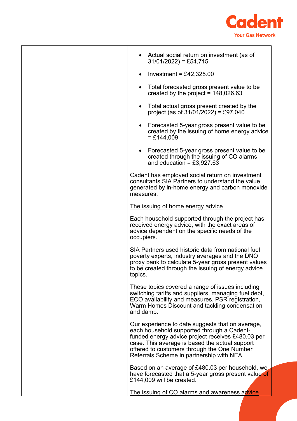

|            | • Actual social return on investment (as of<br>$31/01/2022$ = £54,715                                                                                                                                                                                                                             |
|------------|---------------------------------------------------------------------------------------------------------------------------------------------------------------------------------------------------------------------------------------------------------------------------------------------------|
| $\bullet$  | Investment = £42,325.00                                                                                                                                                                                                                                                                           |
| $\bullet$  | Total forecasted gross present value to be<br>created by the project = $148,026.63$                                                                                                                                                                                                               |
|            | Total actual gross present created by the<br>project (as of $31/01/2022$ ) = £97,040                                                                                                                                                                                                              |
|            | • Forecasted 5-year gross present value to be<br>created by the issuing of home energy advice<br>$=$ £144,009                                                                                                                                                                                     |
|            | • Forecasted 5-year gross present value to be<br>created through the issuing of CO alarms<br>and education = $£3,927.63$                                                                                                                                                                          |
| measures.  | Cadent has employed social return on investment<br>consultants SIA Partners to understand the value<br>generated by in-home energy and carbon monoxide                                                                                                                                            |
|            | The issuing of home energy advice                                                                                                                                                                                                                                                                 |
| occupiers. | Each household supported through the project has<br>received energy advice, with the exact areas of<br>advice dependent on the specific needs of the                                                                                                                                              |
| topics.    | SIA Partners used historic data from national fuel<br>poverty experts, industry averages and the DNO<br>proxy bank to calculate 5-year gross present values<br>to be created through the issuing of energy advice                                                                                 |
| and damp.  | These topics covered a range of issues including<br>switching tariffs and suppliers, managing fuel debt,<br>ECO availability and measures, PSR registration,<br>Warm Homes Discount and tackling condensation                                                                                     |
|            | Our experience to date suggests that on average,<br>each household supported through a Cadent-<br>funded energy advice project receives £480.03 per<br>case. This average is based the actual support<br>offered to customers through the One Number<br>Referrals Scheme in partnership with NEA. |
|            | Based on an average of £480.03 per household, we<br>have forecasted that a 5-year gross present value of<br>£144,009 will be created.                                                                                                                                                             |
|            | The issuing of CO alarms and awareness advice                                                                                                                                                                                                                                                     |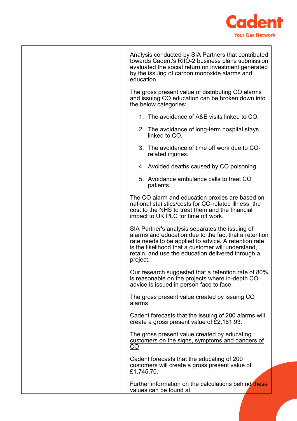

| Analysis conducted by SIA Partners that contributed<br>towards Cadent's RIIO-2 business plans submission<br>evaluated the social return on investment generated<br>by the issuing of carbon monoxide alarms and<br>education.                                                           |  |
|-----------------------------------------------------------------------------------------------------------------------------------------------------------------------------------------------------------------------------------------------------------------------------------------|--|
| The gross present value of distributing CO alarms<br>and issuing CO education can be broken down into<br>the below categories:                                                                                                                                                          |  |
| 1. The avoidance of A&E visits linked to CO.                                                                                                                                                                                                                                            |  |
| 2. The avoidance of long-term hospital stays<br>linked to CO.                                                                                                                                                                                                                           |  |
| 3. The avoidance of time off work due to CO-<br>related injuries.                                                                                                                                                                                                                       |  |
| 4. Avoided deaths caused by CO poisoning.                                                                                                                                                                                                                                               |  |
| 5. Avoidance ambulance calls to treat CO<br>patients.                                                                                                                                                                                                                                   |  |
| The CO alarm and education proxies are based on<br>national statistics/costs for CO-related illness, the<br>cost to the NHS to treat them and the financial<br>impact to UK PLC for time off work.                                                                                      |  |
| SIA Partner's analysis separates the issuing of<br>alarms and education due to the fact that a retention<br>rate needs to be applied to advice. A retention rate<br>is the likelihood that a customer will understand,<br>retain, and use the education delivered through a<br>project. |  |
| Our research suggested that a retention rate of 80%<br>is reasonable on the projects where in-depth CO<br>advice is issued in person face to face.                                                                                                                                      |  |
| The gross present value created by issuing CO<br>alarms                                                                                                                                                                                                                                 |  |
| Cadent forecasts that the issuing of 200 alarms will<br>create a gross present value of $\tilde{E}2,181.93$ .                                                                                                                                                                           |  |
| The gross present value created by educating<br>customers on the signs, symptoms and dangers of<br>CO                                                                                                                                                                                   |  |
| Cadent forecasts that the educating of 200<br>customers will create a gross present value of<br>£1,745.70.                                                                                                                                                                              |  |
| Further information on the calculations behind these<br>values can be found at                                                                                                                                                                                                          |  |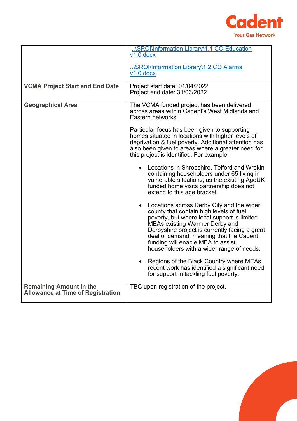

|                                                                            | \SROI\Information Library\1.1 CO Education<br>$v1.0$ .docx                                                                                                                                                                                                                                                                                                   |
|----------------------------------------------------------------------------|--------------------------------------------------------------------------------------------------------------------------------------------------------------------------------------------------------------------------------------------------------------------------------------------------------------------------------------------------------------|
|                                                                            | \SROI\Information Library\1.2 CO Alarms<br>$V1.0.$ docx                                                                                                                                                                                                                                                                                                      |
| <b>VCMA Project Start and End Date</b>                                     | Project start date: 01/04/2022<br>Project end date: 31/03/2022                                                                                                                                                                                                                                                                                               |
| <b>Geographical Area</b>                                                   | The VCMA funded project has been delivered<br>across areas within Cadent's West Midlands and<br>Eastern networks.                                                                                                                                                                                                                                            |
|                                                                            | Particular focus has been given to supporting<br>homes situated in locations with higher levels of<br>deprivation & fuel poverty. Additional attention has<br>also been given to areas where a greater need for<br>this project is identified. For example:                                                                                                  |
|                                                                            | Locations in Shropshire, Telford and Wrekin<br>containing householders under 65 living in<br>vulnerable situations, as the existing AgeUK<br>funded home visits partnership does not<br>extend to this age bracket.                                                                                                                                          |
|                                                                            | Locations across Derby City and the wider<br>county that contain high levels of fuel<br>poverty, but where local support is limited.<br><b>MEAs existing Warmer Derby and</b><br>Derbyshire project is currently facing a great<br>deal of demand, meaning that the Cadent<br>funding will enable MEA to assist<br>householders with a wider range of needs. |
|                                                                            | Regions of the Black Country where MEAs<br>recent work has identified a significant need<br>for support in tackling fuel poverty.                                                                                                                                                                                                                            |
| <b>Remaining Amount in the</b><br><b>Allowance at Time of Registration</b> | TBC upon registration of the project.                                                                                                                                                                                                                                                                                                                        |